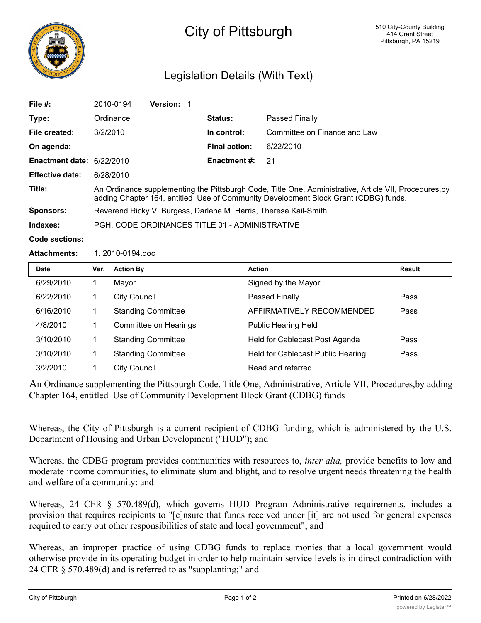

# City of Pittsburgh

## Legislation Details (With Text)

| File $#$ :                                      | 2010-0194                                                                                                                                                                                     | <b>Version:</b> |                      |                              |  |  |
|-------------------------------------------------|-----------------------------------------------------------------------------------------------------------------------------------------------------------------------------------------------|-----------------|----------------------|------------------------------|--|--|
| Type:                                           | Ordinance                                                                                                                                                                                     |                 | <b>Status:</b>       | Passed Finally               |  |  |
| File created:                                   | 3/2/2010                                                                                                                                                                                      |                 | In control:          | Committee on Finance and Law |  |  |
| On agenda:                                      |                                                                                                                                                                                               |                 | <b>Final action:</b> | 6/22/2010                    |  |  |
| Enactment date: $6/22/2010$                     |                                                                                                                                                                                               |                 | <b>Enactment #:</b>  | -21                          |  |  |
| <b>Effective date:</b>                          | 6/28/2010                                                                                                                                                                                     |                 |                      |                              |  |  |
| Title:                                          | An Ordinance supplementing the Pittsburgh Code, Title One, Administrative, Article VII, Procedures, by<br>adding Chapter 164, entitled Use of Community Development Block Grant (CDBG) funds. |                 |                      |                              |  |  |
| <b>Sponsors:</b>                                | Reverend Ricky V. Burgess, Darlene M. Harris, Theresa Kail-Smith                                                                                                                              |                 |                      |                              |  |  |
| Indexes:                                        | PGH, CODE ORDINANCES TITLE 01 - ADMINISTRATIVE                                                                                                                                                |                 |                      |                              |  |  |
| $\bigwedge$ and a set of the set of $\bigwedge$ |                                                                                                                                                                                               |                 |                      |                              |  |  |

**Code sections:**

**Attachments:** 1. 2010-0194.doc

| <b>Date</b> | Ver. | <b>Action By</b>          | <b>Action</b>                         | <b>Result</b> |
|-------------|------|---------------------------|---------------------------------------|---------------|
| 6/29/2010   |      | Mayor                     | Signed by the Mayor                   |               |
| 6/22/2010   |      | <b>City Council</b>       | Passed Finally                        | Pass          |
| 6/16/2010   |      | <b>Standing Committee</b> | AFFIRMATIVELY RECOMMENDED             | Pass          |
| 4/8/2010    |      | Committee on Hearings     | <b>Public Hearing Held</b>            |               |
| 3/10/2010   |      | <b>Standing Committee</b> | <b>Held for Cablecast Post Agenda</b> | Pass          |
| 3/10/2010   |      | <b>Standing Committee</b> | Held for Cablecast Public Hearing     | Pass          |
| 3/2/2010    |      | <b>City Council</b>       | Read and referred                     |               |

An Ordinance supplementing the Pittsburgh Code, Title One, Administrative, Article VII, Procedures,by adding Chapter 164, entitled Use of Community Development Block Grant (CDBG) funds

Whereas, the City of Pittsburgh is a current recipient of CDBG funding, which is administered by the U.S. Department of Housing and Urban Development ("HUD"); and

Whereas, the CDBG program provides communities with resources to, *inter alia,* provide benefits to low and moderate income communities, to eliminate slum and blight, and to resolve urgent needs threatening the health and welfare of a community; and

Whereas, 24 CFR § 570.489(d), which governs HUD Program Administrative requirements, includes a provision that requires recipients to "[e]nsure that funds received under [it] are not used for general expenses required to carry out other responsibilities of state and local government"; and

Whereas, an improper practice of using CDBG funds to replace monies that a local government would otherwise provide in its operating budget in order to help maintain service levels is in direct contradiction with 24 CFR § 570.489(d) and is referred to as "supplanting;" and